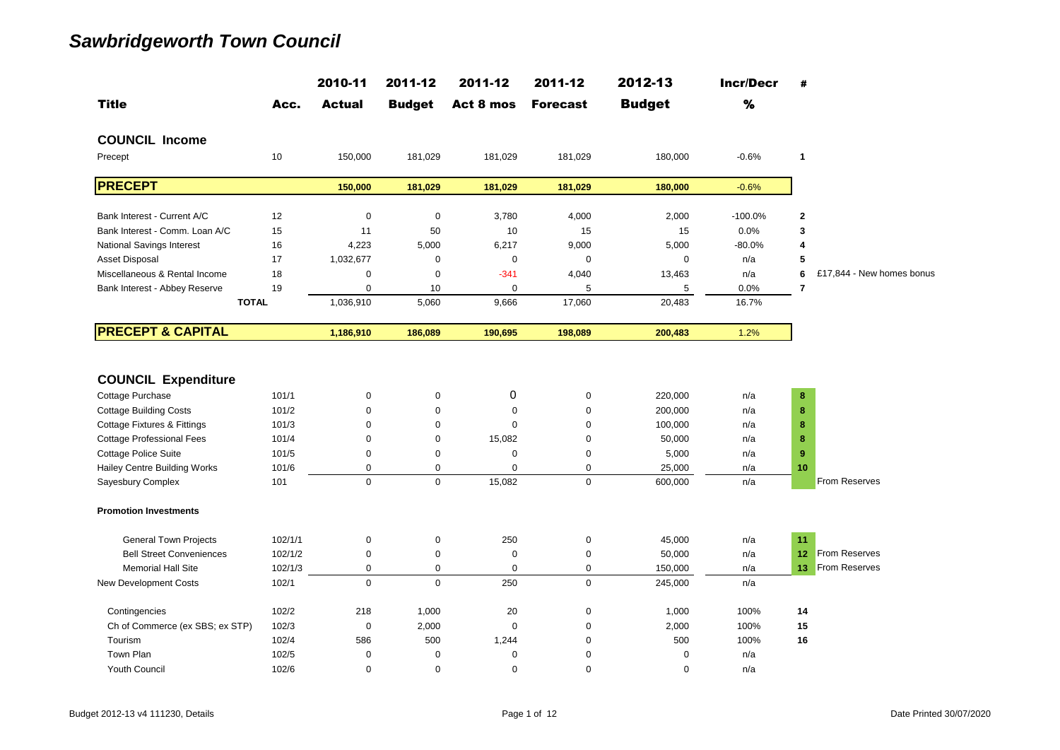|                                                                                                                                                                                                                   |                                                           | 2010-11                                                                      | 2011-12                                                            | 2011-12                                                                        | 2011-12                                                                    | 2012-13                                                               | <b>Incr/Decr</b>                              | #                           |                           |
|-------------------------------------------------------------------------------------------------------------------------------------------------------------------------------------------------------------------|-----------------------------------------------------------|------------------------------------------------------------------------------|--------------------------------------------------------------------|--------------------------------------------------------------------------------|----------------------------------------------------------------------------|-----------------------------------------------------------------------|-----------------------------------------------|-----------------------------|---------------------------|
| <b>Title</b>                                                                                                                                                                                                      | Acc.                                                      | <b>Actual</b>                                                                | <b>Budget</b>                                                      | Act 8 mos                                                                      | <b>Forecast</b>                                                            | <b>Budget</b>                                                         | %                                             |                             |                           |
| <b>COUNCIL Income</b>                                                                                                                                                                                             |                                                           |                                                                              |                                                                    |                                                                                |                                                                            |                                                                       |                                               |                             |                           |
| Precept                                                                                                                                                                                                           | 10                                                        | 150,000                                                                      | 181,029                                                            | 181,029                                                                        | 181,029                                                                    | 180,000                                                               | $-0.6%$                                       | 1                           |                           |
| <b>PRECEPT</b>                                                                                                                                                                                                    |                                                           | 150,000                                                                      | 181,029                                                            | 181,029                                                                        | 181,029                                                                    | 180,000                                                               | $-0.6%$                                       |                             |                           |
| Bank Interest - Current A/C                                                                                                                                                                                       | 12                                                        | $\mathbf 0$                                                                  | $\mathbf 0$                                                        | 3,780                                                                          | 4,000                                                                      | 2,000                                                                 | $-100.0%$                                     | $\mathbf 2$                 |                           |
| Bank Interest - Comm. Loan A/C                                                                                                                                                                                    | 15                                                        | 11                                                                           | 50                                                                 | 10                                                                             | 15                                                                         | 15                                                                    | 0.0%                                          | 3                           |                           |
| <b>National Savings Interest</b>                                                                                                                                                                                  | 16                                                        | 4,223                                                                        | 5,000                                                              | 6,217                                                                          | 9,000                                                                      | 5,000                                                                 | $-80.0%$                                      | 4                           |                           |
| Asset Disposal                                                                                                                                                                                                    | 17                                                        | 1,032,677                                                                    | $\mathbf 0$                                                        | $\boldsymbol{0}$                                                               | $\mathbf 0$                                                                | $\mathbf 0$                                                           | n/a                                           | 5                           |                           |
| Miscellaneous & Rental Income                                                                                                                                                                                     | 18                                                        | $\mathbf 0$                                                                  | $\mathbf 0$                                                        | $-341$                                                                         | 4,040                                                                      | 13,463                                                                | n/a                                           | 6                           | £17,844 - New homes bonus |
| Bank Interest - Abbey Reserve                                                                                                                                                                                     | 19                                                        | $\mathbf 0$                                                                  | 10                                                                 | $\mathbf 0$                                                                    | 5                                                                          | 5                                                                     | 0.0%                                          | 7                           |                           |
| <b>TOTAL</b>                                                                                                                                                                                                      |                                                           | 1,036,910                                                                    | 5,060                                                              | 9,666                                                                          | 17,060                                                                     | 20,483                                                                | 16.7%                                         |                             |                           |
| <b>PRECEPT &amp; CAPITAL</b>                                                                                                                                                                                      |                                                           | 1,186,910                                                                    | 186,089                                                            | 190,695                                                                        | 198,089                                                                    | 200,483                                                               | 1.2%                                          |                             |                           |
| <b>COUNCIL Expenditure</b><br>Cottage Purchase<br><b>Cottage Building Costs</b><br>Cottage Fixtures & Fittings<br><b>Cottage Professional Fees</b><br><b>Cottage Police Suite</b><br>Hailey Centre Building Works | 101/1<br>101/2<br>101/3<br>101/4<br>101/5<br>101/6<br>101 | $\pmb{0}$<br>$\mathbf 0$<br>$\Omega$<br>$\mathbf 0$<br>0<br>0<br>$\mathbf 0$ | $\pmb{0}$<br>$\mathbf 0$<br>$\Omega$<br>0<br>0<br>0<br>$\mathbf 0$ | 0<br>$\mathbf 0$<br>$\Omega$<br>15,082<br>$\mathbf 0$<br>$\mathbf 0$<br>15,082 | $\pmb{0}$<br>$\boldsymbol{0}$<br>$\mathbf 0$<br>0<br>0<br>0<br>$\mathbf 0$ | 220,000<br>200,000<br>100,000<br>50,000<br>5,000<br>25,000<br>600,000 | n/a<br>n/a<br>n/a<br>n/a<br>n/a<br>n/a<br>n/a | 8<br>8<br>8<br>8<br>9<br>10 | From Reserves             |
| Sayesbury Complex<br><b>Promotion Investments</b>                                                                                                                                                                 |                                                           |                                                                              |                                                                    |                                                                                |                                                                            |                                                                       |                                               |                             |                           |
| <b>General Town Projects</b>                                                                                                                                                                                      | 102/1/1                                                   | 0                                                                            | 0                                                                  | 250                                                                            | $\pmb{0}$                                                                  | 45,000                                                                | n/a                                           | 11                          |                           |
| <b>Bell Street Conveniences</b>                                                                                                                                                                                   | 102/1/2                                                   | $\pmb{0}$                                                                    | 0                                                                  | $\mathbf 0$                                                                    | $\mathbf 0$                                                                | 50,000                                                                | n/a                                           | 12 <sub>2</sub>             | From Reserves             |
| <b>Memorial Hall Site</b>                                                                                                                                                                                         | 102/1/3                                                   | 0                                                                            | 0                                                                  | $\mathbf 0$                                                                    | 0                                                                          | 150,000                                                               | n/a                                           | 13 <sub>1</sub>             | <b>From Reserves</b>      |
| <b>New Development Costs</b>                                                                                                                                                                                      | 102/1                                                     | $\mathbf 0$                                                                  | $\mathbf 0$                                                        | 250                                                                            | $\mathbf 0$                                                                | 245,000                                                               | n/a                                           |                             |                           |
| Contingencies                                                                                                                                                                                                     | 102/2                                                     | 218                                                                          | 1,000                                                              | 20                                                                             | $\mathsf 0$                                                                | 1,000                                                                 | 100%                                          | 14                          |                           |
| Ch of Commerce (ex SBS; ex STP)                                                                                                                                                                                   | 102/3                                                     | $\mathbf 0$                                                                  | 2,000                                                              | $\mathbf 0$                                                                    | $\mathbf 0$                                                                | 2,000                                                                 | 100%                                          | 15                          |                           |
| Tourism                                                                                                                                                                                                           | 102/4                                                     | 586                                                                          | 500                                                                | 1,244                                                                          | $\mathbf 0$                                                                | 500                                                                   | 100%                                          | 16                          |                           |
| Town Plan                                                                                                                                                                                                         | 102/5                                                     | $\mathbf 0$                                                                  | $\mathbf 0$                                                        | $\mathbf 0$                                                                    | 0                                                                          | $\mathbf 0$                                                           | n/a                                           |                             |                           |
| Youth Council                                                                                                                                                                                                     | 102/6                                                     | $\pmb{0}$                                                                    | 0                                                                  | $\boldsymbol{0}$                                                               | $\mathbf 0$                                                                | $\mathbf 0$                                                           | n/a                                           |                             |                           |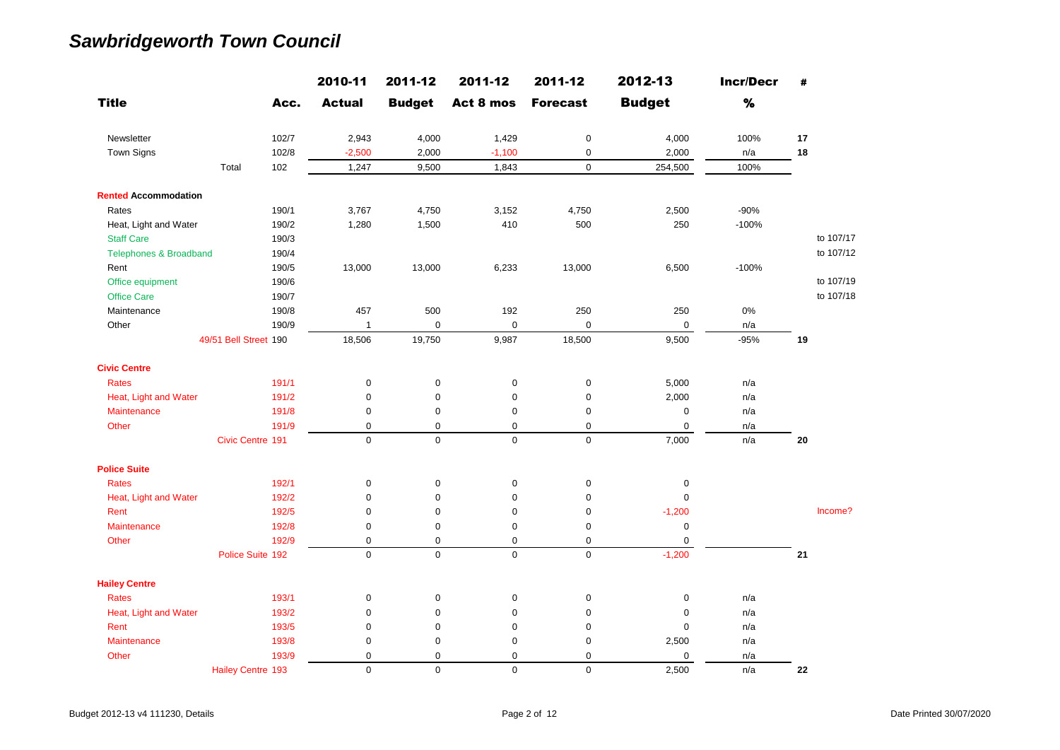|                                   |                          |       | 2010-11       | 2011-12       | 2011-12      | 2011-12         | 2012-13       | <b>Incr/Decr</b> | #  |           |
|-----------------------------------|--------------------------|-------|---------------|---------------|--------------|-----------------|---------------|------------------|----|-----------|
| <b>Title</b>                      |                          | Acc.  | <b>Actual</b> | <b>Budget</b> | Act 8 mos    | <b>Forecast</b> | <b>Budget</b> | $\%$             |    |           |
| Newsletter                        |                          | 102/7 | 2,943         | 4,000         | 1,429        | $\pmb{0}$       | 4,000         | 100%             | 17 |           |
| Town Signs                        |                          | 102/8 | $-2,500$      | 2,000         | $-1,100$     | $\pmb{0}$       | 2,000         | n/a              | 18 |           |
|                                   | Total                    | 102   | 1,247         | 9,500         | 1,843        | $\mathbf 0$     | 254,500       | 100%             |    |           |
| <b>Rented Accommodation</b>       |                          |       |               |               |              |                 |               |                  |    |           |
| Rates                             |                          | 190/1 | 3,767         | 4,750         | 3,152        | 4,750           | 2,500         | $-90%$           |    |           |
| Heat, Light and Water             |                          | 190/2 | 1,280         | 1,500         | 410          | 500             | 250           | $-100%$          |    |           |
| <b>Staff Care</b>                 |                          | 190/3 |               |               |              |                 |               |                  |    | to 107/17 |
| <b>Telephones &amp; Broadband</b> |                          | 190/4 |               |               |              |                 |               |                  |    | to 107/12 |
| Rent                              |                          | 190/5 | 13,000        | 13,000        | 6,233        | 13,000          | 6,500         | $-100%$          |    |           |
| Office equipment                  |                          | 190/6 |               |               |              |                 |               |                  |    | to 107/19 |
| <b>Office Care</b>                |                          | 190/7 |               |               |              |                 |               |                  |    | to 107/18 |
| Maintenance                       |                          | 190/8 | 457           | 500           | 192          | 250             | 250           | 0%               |    |           |
| Other                             |                          | 190/9 | $\mathbf{1}$  | $\pmb{0}$     | 0            | $\mathbf 0$     | $\pmb{0}$     | n/a              |    |           |
|                                   | 49/51 Bell Street 190    |       | 18,506        | 19,750        | 9,987        | 18,500          | 9,500         | $-95%$           | 19 |           |
| <b>Civic Centre</b>               |                          |       |               |               |              |                 |               |                  |    |           |
| <b>Rates</b>                      |                          | 191/1 | 0             | $\pmb{0}$     | $\pmb{0}$    | $\pmb{0}$       | 5,000         | n/a              |    |           |
| Heat, Light and Water             |                          | 191/2 | 0             | $\pmb{0}$     | $\pmb{0}$    | $\pmb{0}$       | 2,000         | n/a              |    |           |
| Maintenance                       |                          | 191/8 | $\mathbf 0$   | $\mathbf 0$   | $\pmb{0}$    | $\mathbf 0$     | $\mathbf 0$   | n/a              |    |           |
| Other                             |                          | 191/9 | $\mathbf 0$   | $\mathbf 0$   | $\mathbf 0$  | $\mathbf 0$     | 0             | n/a              |    |           |
|                                   | Civic Centre 191         |       | $\mathbf 0$   | $\mathbf 0$   | $\mathbf{0}$ | $\mathbf 0$     | 7,000         | n/a              | 20 |           |
| <b>Police Suite</b>               |                          |       |               |               |              |                 |               |                  |    |           |
| <b>Rates</b>                      |                          | 192/1 | 0             | $\mathbf 0$   | $\pmb{0}$    | $\pmb{0}$       | $\mathbf 0$   |                  |    |           |
| Heat, Light and Water             |                          | 192/2 | 0             | $\mathbf 0$   | $\pmb{0}$    | $\mathbf 0$     | $\mathbf 0$   |                  |    |           |
| Rent                              |                          | 192/5 | $\mathbf 0$   | $\mathbf 0$   | $\mathbf 0$  | $\mathbf 0$     | $-1,200$      |                  |    | Income?   |
| <b>Maintenance</b>                |                          | 192/8 | 0             | 0             | 0            | $\pmb{0}$       | 0             |                  |    |           |
| Other                             |                          | 192/9 | $\mathbf 0$   | $\mathbf 0$   | $\pmb{0}$    | $\mathbf 0$     | $\mathbf 0$   |                  |    |           |
|                                   | Police Suite 192         |       | $\mathbf 0$   | $\mathbf 0$   | 0            | $\mathsf 0$     | $-1,200$      |                  | 21 |           |
| <b>Hailey Centre</b>              |                          |       |               |               |              |                 |               |                  |    |           |
| <b>Rates</b>                      |                          | 193/1 | $\mathsf 0$   | $\mathbf 0$   | $\pmb{0}$    | $\pmb{0}$       | $\pmb{0}$     | n/a              |    |           |
| Heat, Light and Water             |                          | 193/2 | 0             | $\mathbf 0$   | $\mathbf 0$  | $\pmb{0}$       | $\mathbf 0$   | n/a              |    |           |
| Rent                              |                          | 193/5 | 0             | $\mathbf 0$   | 0            | $\pmb{0}$       | $\mathbf 0$   | n/a              |    |           |
| Maintenance                       |                          | 193/8 | 0             | 0             | $\mathbf 0$  | $\pmb{0}$       | 2,500         | n/a              |    |           |
| Other                             |                          | 193/9 | 0             | $\mathbf 0$   | $\mathbf 0$  | $\mathbf 0$     | $\mathsf 0$   | n/a              |    |           |
|                                   | <b>Hailey Centre 193</b> |       | $\mathbf 0$   | $\Omega$      | $\mathbf 0$  | $\mathbf 0$     | 2,500         | n/a              | 22 |           |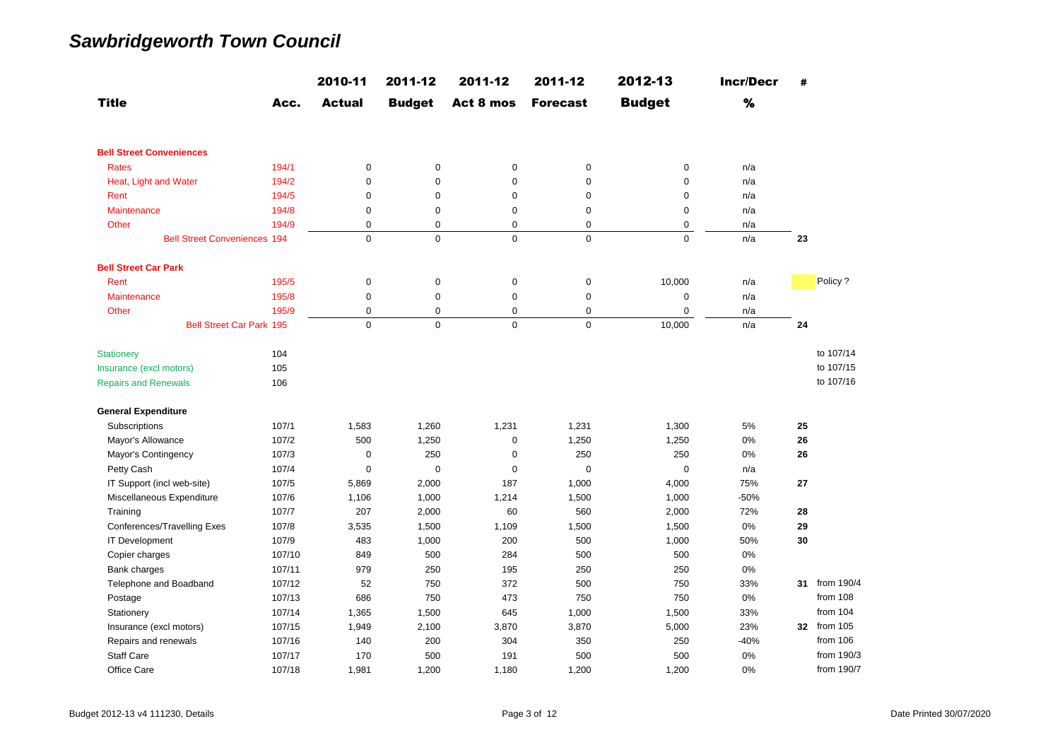|                                     |        | 2010-11       | 2011-12       | 2011-12     | 2011-12         | 2012-13       | <b>Incr/Decr</b> | #  |               |
|-------------------------------------|--------|---------------|---------------|-------------|-----------------|---------------|------------------|----|---------------|
| <b>Title</b>                        | Acc.   | <b>Actual</b> | <b>Budget</b> | Act 8 mos   | <b>Forecast</b> | <b>Budget</b> | %                |    |               |
| <b>Bell Street Conveniences</b>     |        |               |               |             |                 |               |                  |    |               |
| <b>Rates</b>                        | 194/1  | $\mathsf 0$   | 0             | 0           | $\mathbf 0$     | $\mathbf 0$   | n/a              |    |               |
| Heat, Light and Water               | 194/2  | $\mathbf 0$   | $\mathbf 0$   | $\mathbf 0$ | $\mathbf 0$     | $\mathbf 0$   | n/a              |    |               |
| Rent                                | 194/5  | $\mathbf 0$   | 0             | $\mathbf 0$ | $\mathbf 0$     | $\pmb{0}$     | n/a              |    |               |
| <b>Maintenance</b>                  | 194/8  | $\mathbf 0$   | $\mathsf 0$   | $\pmb{0}$   | 0               | $\mathbf 0$   | n/a              |    |               |
| Other                               | 194/9  | $\mathbf 0$   | 0             | 0           | 0               | $\pmb{0}$     | n/a              |    |               |
| <b>Bell Street Conveniences 194</b> |        | $\mathbf 0$   | $\mathbf 0$   | $\mathbf 0$ | 0               | $\mathbf 0$   | n/a              | 23 |               |
| <b>Bell Street Car Park</b>         |        |               |               |             |                 |               |                  |    |               |
| Rent                                | 195/5  | $\mathbf 0$   | $\mathsf 0$   | $\pmb{0}$   | $\mathbf 0$     | 10,000        | n/a              |    | Policy?       |
| Maintenance                         | 195/8  | $\mathbf 0$   | $\mathsf 0$   | $\mathbf 0$ | $\mathbf 0$     | $\mathbf 0$   | n/a              |    |               |
| Other                               | 195/9  | $\mathbf 0$   | $\mathbf 0$   | $\mathbf 0$ | 0               | $\mathbf 0$   | n/a              |    |               |
| <b>Bell Street Car Park 195</b>     |        | $\Omega$      | $\Omega$      | $\mathbf 0$ | $\mathbf{0}$    | 10,000        | n/a              | 24 |               |
| <b>Stationery</b>                   | 104    |               |               |             |                 |               |                  |    | to 107/14     |
| Insurance (excl motors)             | 105    |               |               |             |                 |               |                  |    | to 107/15     |
| <b>Repairs and Renewals</b>         | 106    |               |               |             |                 |               |                  |    | to 107/16     |
| <b>General Expenditure</b>          |        |               |               |             |                 |               |                  |    |               |
| Subscriptions                       | 107/1  | 1,583         | 1,260         | 1,231       | 1,231           | 1,300         | 5%               | 25 |               |
| Mayor's Allowance                   | 107/2  | 500           | 1,250         | $\mathbf 0$ | 1,250           | 1,250         | 0%               | 26 |               |
| Mayor's Contingency                 | 107/3  | $\mathbf 0$   | 250           | $\mathbf 0$ | 250             | 250           | 0%               | 26 |               |
| Petty Cash                          | 107/4  | $\mathbf 0$   | 0             | $\mathbf 0$ | $\mathbf 0$     | $\mathbf 0$   | n/a              |    |               |
| IT Support (incl web-site)          | 107/5  | 5,869         | 2,000         | 187         | 1,000           | 4,000         | 75%              | 27 |               |
| Miscellaneous Expenditure           | 107/6  | 1,106         | 1,000         | 1,214       | 1,500           | 1,000         | $-50%$           |    |               |
| Training                            | 107/7  | 207           | 2,000         | 60          | 560             | 2,000         | 72%              | 28 |               |
| Conferences/Travelling Exes         | 107/8  | 3,535         | 1,500         | 1,109       | 1,500           | 1,500         | 0%               | 29 |               |
| <b>IT Development</b>               | 107/9  | 483           | 1,000         | 200         | 500             | 1,000         | 50%              | 30 |               |
| Copier charges                      | 107/10 | 849           | 500           | 284         | 500             | 500           | 0%               |    |               |
| Bank charges                        | 107/11 | 979           | 250           | 195         | 250             | 250           | 0%               |    |               |
| Telephone and Boadband              | 107/12 | 52            | 750           | 372         | 500             | 750           | 33%              |    | 31 from 190/4 |
| Postage                             | 107/13 | 686           | 750           | 473         | 750             | 750           | 0%               |    | from 108      |
| Stationery                          | 107/14 | 1,365         | 1,500         | 645         | 1,000           | 1,500         | 33%              |    | from $104$    |
| Insurance (excl motors)             | 107/15 | 1,949         | 2,100         | 3,870       | 3,870           | 5,000         | 23%              |    | 32 from 105   |
| Repairs and renewals                | 107/16 | 140           | 200           | 304         | 350             | 250           | $-40%$           |    | from 106      |
| <b>Staff Care</b>                   | 107/17 | 170           | 500           | 191         | 500             | 500           | 0%               |    | from 190/3    |
| Office Care                         | 107/18 | 1,981         | 1,200         | 1,180       | 1,200           | 1,200         | 0%               |    | from 190/7    |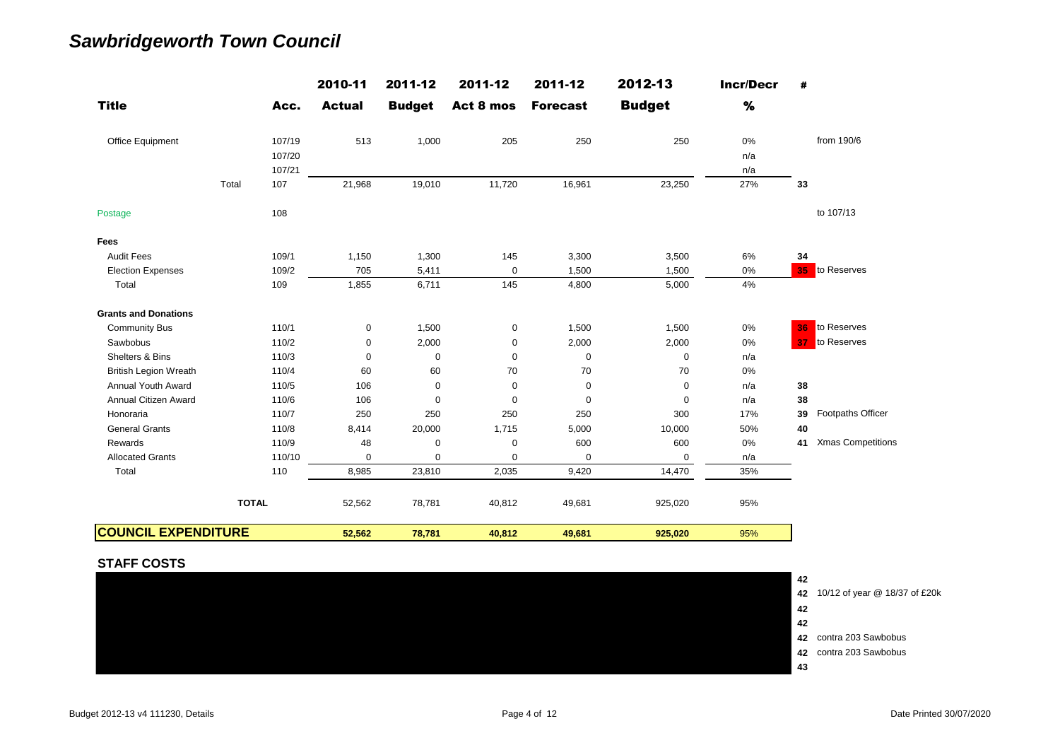|                              |              | 2010-11       | 2011-12       | 2011-12     | 2011-12         | 2012-13       | <b>Incr/Decr</b> | #                              |
|------------------------------|--------------|---------------|---------------|-------------|-----------------|---------------|------------------|--------------------------------|
| <b>Title</b>                 | Acc.         | <b>Actual</b> | <b>Budget</b> | Act 8 mos   | <b>Forecast</b> | <b>Budget</b> | $\%$             |                                |
| Office Equipment             | 107/19       | 513           | 1,000         | 205         | 250             | 250           | 0%               | from 190/6                     |
|                              | 107/20       |               |               |             |                 |               | n/a              |                                |
|                              | 107/21       |               |               |             |                 |               | n/a              |                                |
|                              | Total<br>107 | 21,968        | 19,010        | 11,720      | 16,961          | 23,250        | 27%              | 33                             |
| Postage                      | 108          |               |               |             |                 |               |                  | to 107/13                      |
| Fees                         |              |               |               |             |                 |               |                  |                                |
| <b>Audit Fees</b>            | 109/1        | 1,150         | 1,300         | 145         | 3,300           | 3,500         | 6%               | 34                             |
| <b>Election Expenses</b>     | 109/2        | 705           | 5,411         | 0           | 1,500           | 1,500         | 0%               | <b>35</b> to Reserves          |
| Total                        | 109          | 1,855         | 6,711         | 145         | 4,800           | 5,000         | 4%               |                                |
| <b>Grants and Donations</b>  |              |               |               |             |                 |               |                  |                                |
| <b>Community Bus</b>         | 110/1        | $\mathbf 0$   | 1,500         | 0           | 1,500           | 1,500         | 0%               | to Reserves<br>36              |
| Sawbobus                     | 110/2        | $\mathbf 0$   | 2,000         | $\mathbf 0$ | 2,000           | 2,000         | 0%               | to Reserves<br>37              |
| Shelters & Bins              | 110/3        | $\mathbf 0$   | 0             | $\mathbf 0$ | $\pmb{0}$       | $\mathbf 0$   | n/a              |                                |
| <b>British Legion Wreath</b> | 110/4        | 60            | 60            | 70          | 70              | 70            | 0%               |                                |
| <b>Annual Youth Award</b>    | 110/5        | 106           | 0             | 0           | 0               | $\mathbf 0$   | n/a              | 38                             |
| Annual Citizen Award         | 110/6        | 106           | 0             | $\mathbf 0$ | $\mathbf 0$     | $\mathbf 0$   | n/a              | 38                             |
| Honoraria                    | 110/7        | 250           | 250           | 250         | 250             | 300           | 17%              | Footpaths Officer<br>39        |
| <b>General Grants</b>        | 110/8        | 8,414         | 20,000        | 1,715       | 5,000           | 10,000        | 50%              | 40                             |
| Rewards                      | 110/9        | 48            | 0             | $\mathbf 0$ | 600             | 600           | 0%               | <b>Xmas Competitions</b><br>41 |
| <b>Allocated Grants</b>      | 110/10       | $\mathbf 0$   | $\mathbf 0$   | $\mathbf 0$ | $\mathbf 0$     | 0             | n/a              |                                |
| Total                        | 110          | 8,985         | 23,810        | 2,035       | 9,420           | 14,470        | 35%              |                                |
|                              | <b>TOTAL</b> | 52,562        | 78,781        | 40,812      | 49,681          | 925,020       | 95%              |                                |
| <b>COUNCIL EXPENDITURE</b>   |              | 52,562        | 78,781        | 40,812      | 49,681          | 925,020       | 95%              |                                |

#### **STAFF COSTS**

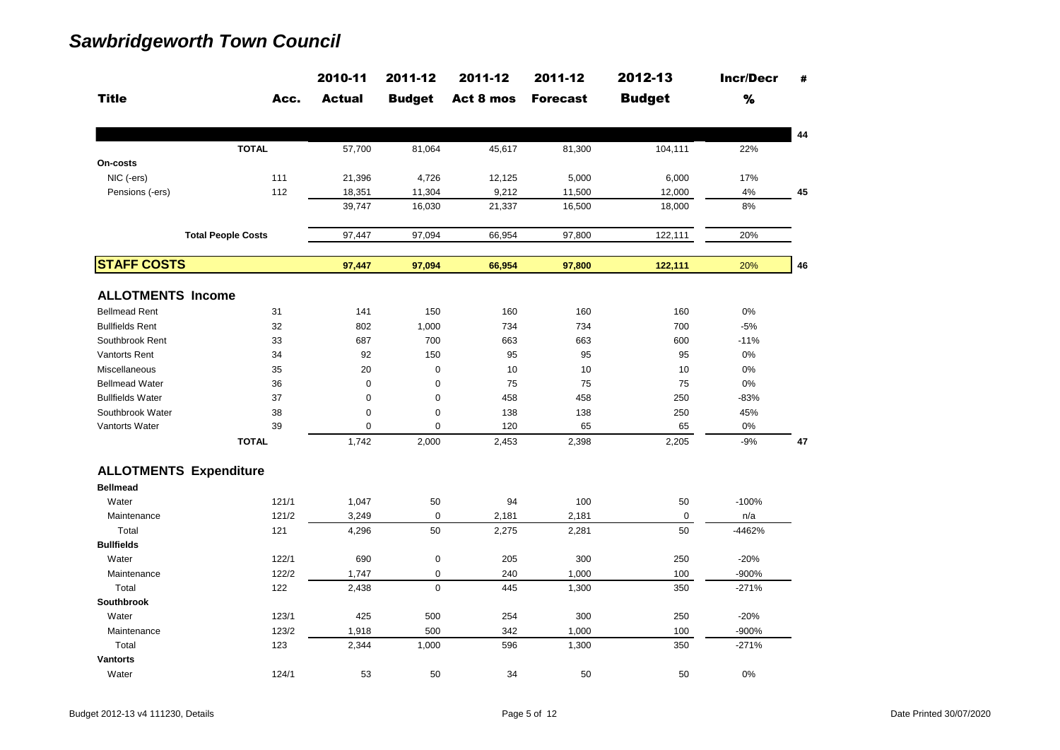|                               |                           | 2010-11       | 2011-12       | 2011-12   | 2011-12         | 2012-13       | <b>Incr/Decr</b> | #  |
|-------------------------------|---------------------------|---------------|---------------|-----------|-----------------|---------------|------------------|----|
| <b>Title</b>                  | Acc.                      | <b>Actual</b> | <b>Budget</b> | Act 8 mos | <b>Forecast</b> | <b>Budget</b> | $\%$             |    |
|                               |                           |               |               |           |                 |               |                  | 44 |
|                               | <b>TOTAL</b>              | 57,700        | 81,064        | 45,617    | 81,300          | 104,111       | 22%              |    |
| On-costs                      |                           |               |               |           |                 |               |                  |    |
| NIC (-ers)                    | 111                       | 21,396        | 4,726         | 12,125    | 5,000           | 6,000         | 17%              |    |
| Pensions (-ers)               | 112                       | 18,351        | 11,304        | 9,212     | 11,500          | 12,000        | 4%               | 45 |
|                               |                           | 39,747        | 16,030        | 21,337    | 16,500          | 18,000        | 8%               |    |
|                               | <b>Total People Costs</b> | 97,447        | 97,094        | 66,954    | 97,800          | 122,111       | 20%              |    |
| <b>STAFF COSTS</b>            |                           |               |               |           |                 |               |                  |    |
|                               |                           | 97,447        | 97,094        | 66,954    | 97,800          | 122,111       | 20%              | 46 |
| <b>ALLOTMENTS Income</b>      |                           |               |               |           |                 |               |                  |    |
| <b>Bellmead Rent</b>          | 31                        | 141           | 150           | 160       | 160             | 160           | 0%               |    |
| <b>Bullfields Rent</b>        | 32                        | 802           | 1,000         | 734       | 734             | 700           | $-5%$            |    |
| Southbrook Rent               | 33                        | 687           | 700           | 663       | 663             | 600           | $-11%$           |    |
| <b>Vantorts Rent</b>          | 34                        | 92            | 150           | 95        | 95              | 95            | 0%               |    |
| Miscellaneous                 | 35                        | 20            | $\mathbf 0$   | 10        | 10              | 10            | 0%               |    |
| <b>Bellmead Water</b>         | 36                        | $\mathbf 0$   | 0             | 75        | 75              | 75            | 0%               |    |
| <b>Bullfields Water</b>       | 37                        | $\mathbf 0$   | $\mathbf 0$   | 458       | 458             | 250           | $-83%$           |    |
| Southbrook Water              | 38                        | $\mathbf 0$   | 0             | 138       | 138             | 250           | 45%              |    |
| <b>Vantorts Water</b>         | 39                        | $\mathbf 0$   | $\Omega$      | 120       | 65              | 65            | 0%               |    |
|                               | <b>TOTAL</b>              | 1,742         | 2,000         | 2,453     | 2,398           | 2,205         | $-9%$            | 47 |
| <b>ALLOTMENTS Expenditure</b> |                           |               |               |           |                 |               |                  |    |
| <b>Bellmead</b>               |                           |               |               |           |                 |               |                  |    |
| Water                         | 121/1                     | 1,047         | 50            | 94        | 100             | 50            | $-100%$          |    |
| Maintenance                   | 121/2                     | 3,249         | $\mathbf 0$   | 2,181     | 2,181           | $\mathbf 0$   | n/a              |    |
| Total                         | 121                       | 4,296         | 50            | 2,275     | 2,281           | 50            | -4462%           |    |
| <b>Bullfields</b>             |                           |               |               |           |                 |               |                  |    |
| Water                         | 122/1                     | 690           | 0             | 205       | 300             | 250           | $-20%$           |    |
| Maintenance                   | 122/2                     | 1,747         | 0             | 240       | 1,000           | 100           | -900%            |    |
| Total                         | 122                       | 2,438         | $\mathbf 0$   | 445       | 1,300           | 350           | $-271%$          |    |
| <b>Southbrook</b>             |                           |               |               |           |                 |               |                  |    |
| Water                         | 123/1                     | 425           | 500           | 254       | 300             | 250           | $-20%$           |    |
| Maintenance                   | 123/2                     | 1,918         | 500           | 342       | 1,000           | 100           | -900%            |    |
| Total                         | 123                       | 2,344         | 1,000         | 596       | 1,300           | 350           | $-271%$          |    |
| <b>Vantorts</b>               |                           |               |               |           |                 |               |                  |    |
| Water                         | 124/1                     | 53            | 50            | 34        | 50              | 50            | 0%               |    |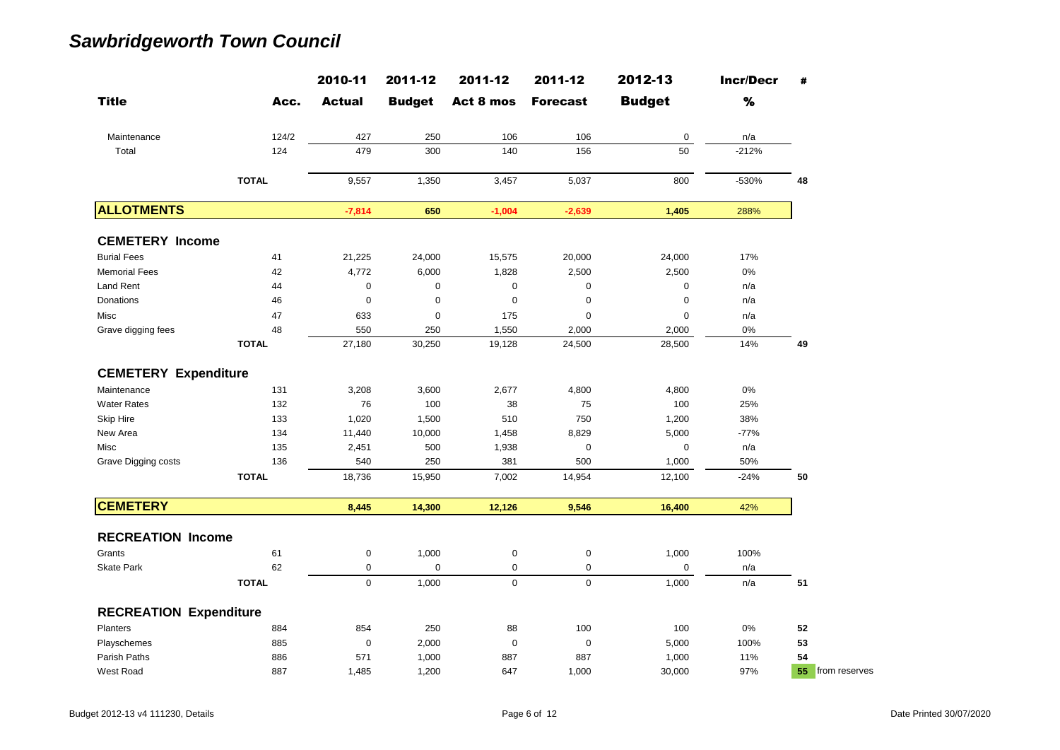|                               |              | 2010-11       | 2011-12       | 2011-12     | 2011-12         | 2012-13       | <b>Incr/Decr</b> | #                   |
|-------------------------------|--------------|---------------|---------------|-------------|-----------------|---------------|------------------|---------------------|
| <b>Title</b>                  | Acc.         | <b>Actual</b> | <b>Budget</b> | Act 8 mos   | <b>Forecast</b> | <b>Budget</b> | $\%$             |                     |
| Maintenance                   | 124/2        | 427           | 250           | 106         | 106             | 0             | n/a              |                     |
| Total                         | 124          | 479           | 300           | 140         | 156             | 50            | $-212%$          |                     |
|                               | <b>TOTAL</b> | 9,557         | 1,350         | 3,457       | 5,037           | 800           | $-530%$          | 48                  |
| <b>ALLOTMENTS</b>             |              | $-7,814$      | 650           | $-1,004$    | $-2,639$        | 1,405         | 288%             |                     |
| <b>CEMETERY Income</b>        |              |               |               |             |                 |               |                  |                     |
| <b>Burial Fees</b>            | 41           | 21,225        | 24,000        | 15,575      | 20,000          | 24,000        | 17%              |                     |
| <b>Memorial Fees</b>          | 42           | 4,772         | 6,000         | 1,828       | 2,500           | 2,500         | 0%               |                     |
| <b>Land Rent</b>              | 44           | $\pmb{0}$     | 0             | $\pmb{0}$   | 0               | 0             | n/a              |                     |
| Donations                     | 46           | $\mathbf 0$   | 0             | $\mathbf 0$ | 0               | 0             | n/a              |                     |
| Misc                          | 47           | 633           | 0             | 175         | 0               | 0             | n/a              |                     |
| Grave digging fees            | 48           | 550           | 250           | 1,550       | 2,000           | 2,000         | 0%               |                     |
|                               | <b>TOTAL</b> | 27,180        | 30,250        | 19,128      | 24,500          | 28,500        | 14%              | 49                  |
| <b>CEMETERY Expenditure</b>   |              |               |               |             |                 |               |                  |                     |
| Maintenance                   | 131          | 3,208         | 3,600         | 2,677       | 4,800           | 4,800         | 0%               |                     |
| <b>Water Rates</b>            | 132          | 76            | 100           | 38          | 75              | 100           | 25%              |                     |
| <b>Skip Hire</b>              | 133          | 1,020         | 1,500         | 510         | 750             | 1,200         | 38%              |                     |
| New Area                      | 134          | 11,440        | 10,000        | 1,458       | 8,829           | 5,000         | $-77%$           |                     |
| Misc                          | 135          | 2,451         | 500           | 1,938       | 0               | 0             | n/a              |                     |
| Grave Digging costs           | 136          | 540           | 250           | 381         | 500             | 1,000         | 50%              |                     |
|                               | <b>TOTAL</b> | 18,736        | 15,950        | 7,002       | 14,954          | 12,100        | $-24%$           | 50                  |
| <b>CEMETERY</b>               |              | 8,445         | 14,300        | 12,126      | 9,546           | 16,400        | 42%              |                     |
| <b>RECREATION Income</b>      |              |               |               |             |                 |               |                  |                     |
| Grants                        | 61           | $\pmb{0}$     | 1,000         | $\pmb{0}$   | $\pmb{0}$       | 1,000         | 100%             |                     |
| <b>Skate Park</b>             | 62           | 0             | 0             | 0           | 0               | 0             | n/a              |                     |
|                               | <b>TOTAL</b> | $\mathbf 0$   | 1,000         | $\pmb{0}$   | $\mathbf 0$     | 1,000         | n/a              | 51                  |
|                               |              |               |               |             |                 |               |                  |                     |
| <b>RECREATION Expenditure</b> |              |               |               |             |                 |               |                  |                     |
| Planters                      | 884          | 854           | 250           | 88          | 100             | 100           | 0%               | 52                  |
| Playschemes                   | 885          | $\mathbf 0$   | 2,000         | $\mathbf 0$ | $\mathbf 0$     | 5,000         | 100%             | 53                  |
| Parish Paths                  | 886          | 571           | 1,000         | 887         | 887             | 1,000         | 11%              | 54                  |
| West Road                     | 887          | 1,485         | 1,200         | 647         | 1,000           | 30,000        | 97%              | from reserves<br>55 |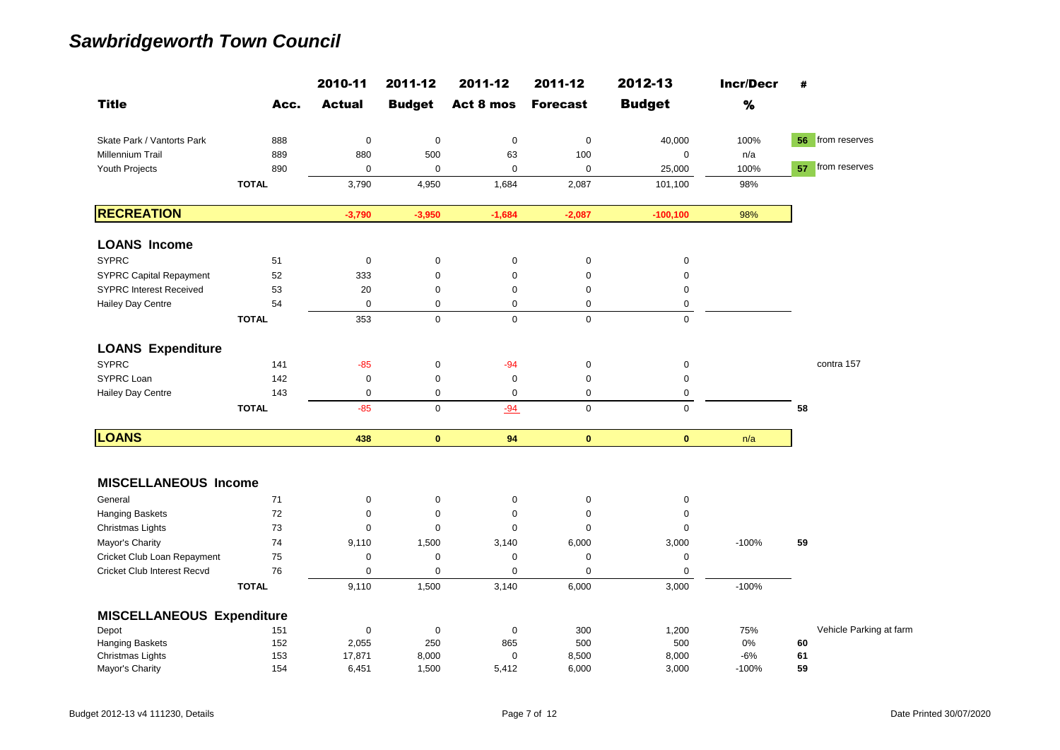|                                  |              | 2010-11       | 2011-12       | 2011-12             | 2011-12         | 2012-13       | <b>Incr/Decr</b> | #                       |
|----------------------------------|--------------|---------------|---------------|---------------------|-----------------|---------------|------------------|-------------------------|
| <b>Title</b>                     | Acc.         | <b>Actual</b> | <b>Budget</b> | Act 8 mos           | <b>Forecast</b> | <b>Budget</b> | $\%$             |                         |
| Skate Park / Vantorts Park       | 888          | $\pmb{0}$     | $\mathsf 0$   | $\boldsymbol{0}$    | $\pmb{0}$       | 40,000        | 100%             | 56 from reserves        |
| Millennium Trail                 | 889          | 880           | 500           | 63                  | 100             | 0             | n/a              |                         |
| Youth Projects                   | 890          | $\mathbf 0$   | $\mathbf 0$   | $\mathbf 0$         | $\mathbf 0$     | 25,000        | 100%             | 57 from reserves        |
|                                  | <b>TOTAL</b> | 3,790         | 4,950         | 1,684               | 2,087           | 101,100       | 98%              |                         |
| <b>RECREATION</b>                |              | $-3,790$      | $-3,950$      | $-1,684$            | $-2,087$        | $-100, 100$   | 98%              |                         |
| <b>LOANS Income</b>              |              |               |               |                     |                 |               |                  |                         |
| <b>SYPRC</b>                     | 51           | 0             | 0             | $\pmb{0}$           | 0               | 0             |                  |                         |
| <b>SYPRC Capital Repayment</b>   | 52           | 333           | $\pmb{0}$     | $\mathbf 0$         | $\mathbf 0$     | $\mathbf 0$   |                  |                         |
| <b>SYPRC Interest Received</b>   | 53           | 20            | 0             | $\mathbf 0$         | $\mathbf 0$     | $\pmb{0}$     |                  |                         |
| Hailey Day Centre                | 54           | $\pmb{0}$     | 0             | $\mathbf 0$         | $\mathbf 0$     | $\mathbf 0$   |                  |                         |
|                                  | <b>TOTAL</b> | 353           | $\mathbf 0$   | $\mathbf 0$         | $\mathbf 0$     | $\mathbf 0$   |                  |                         |
| <b>LOANS Expenditure</b>         |              |               |               |                     |                 |               |                  |                         |
| <b>SYPRC</b>                     | 141          | $-85$         | $\pmb{0}$     | $-94$               | $\pmb{0}$       | $\pmb{0}$     |                  | contra 157              |
| SYPRC Loan                       | 142          | $\pmb{0}$     | 0             | $\mathbf 0$         | $\pmb{0}$       | $\mathbf 0$   |                  |                         |
| Hailey Day Centre                | 143          | $\mathbf 0$   | $\mathbf 0$   | 0                   | $\mathbf 0$     | 0             |                  |                         |
|                                  | <b>TOTAL</b> | $-85$         | $\mathbf 0$   | $-94$               | $\mathbf 0$     | $\pmb{0}$     |                  | 58                      |
| <b>LOANS</b>                     |              | 438           | $\mathbf{0}$  | 94                  | $\mathbf{0}$    | $\mathbf{0}$  | n/a              |                         |
| <b>MISCELLANEOUS Income</b>      |              |               |               |                     |                 |               |                  |                         |
| General                          | 71           | 0             | 0             | $\pmb{0}$           | $\pmb{0}$       | 0             |                  |                         |
| Hanging Baskets                  | 72           | $\mathbf 0$   | $\mathbf 0$   | $\mathbf 0$         | $\mathsf 0$     | $\mathbf 0$   |                  |                         |
| Christmas Lights                 | 73           | $\pmb{0}$     | $\mathbf 0$   | $\boldsymbol{0}$    | $\mathsf 0$     | $\mathbf 0$   |                  |                         |
| Mayor's Charity                  | 74           | 9,110         | 1,500         | 3,140               | 6,000           | 3,000         | $-100%$          | 59                      |
| Cricket Club Loan Repayment      | 75           | $\pmb{0}$     | $\mathbf 0$   | $\mathbf 0$         | $\mathbf 0$     | $\mathbf 0$   |                  |                         |
| Cricket Club Interest Recvd      | 76           | $\pmb{0}$     | $\mathbf 0$   | $\mathbf 0$         | $\mathbf 0$     | $\mathbf 0$   |                  |                         |
|                                  | <b>TOTAL</b> | 9,110         | 1,500         | 3,140               | 6,000           | 3,000         | $-100%$          |                         |
| <b>MISCELLANEOUS Expenditure</b> |              |               |               |                     |                 |               |                  |                         |
| Depot                            | 151          | $\pmb{0}$     | $\pmb{0}$     | $\mathsf{O}\xspace$ | 300             | 1,200         | 75%              | Vehicle Parking at farm |
| Hanging Baskets                  | 152          | 2,055         | 250           | 865                 | 500             | 500           | 0%               | 60                      |
| Christmas Lights                 | 153          | 17,871        | 8,000         | 0                   | 8,500           | 8,000         | $-6%$            | 61                      |
| Mayor's Charity                  | 154          | 6,451         | 1,500         | 5,412               | 6,000           | 3,000         | $-100%$          | 59                      |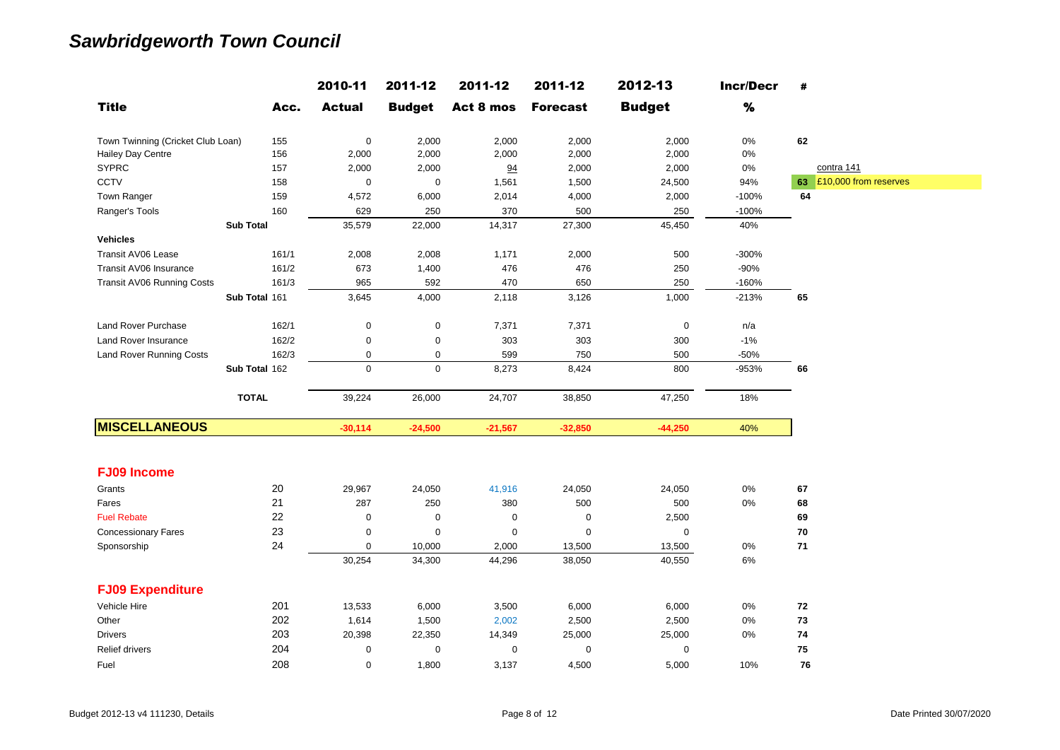|                                   |               | 2010-11          | 2011-12       | 2011-12   | 2011-12         | 2012-13       | <b>Incr/Decr</b> | #                        |
|-----------------------------------|---------------|------------------|---------------|-----------|-----------------|---------------|------------------|--------------------------|
| <b>Title</b>                      | Acc.          | <b>Actual</b>    | <b>Budget</b> | Act 8 mos | <b>Forecast</b> | <b>Budget</b> | $\%$             |                          |
| Town Twinning (Cricket Club Loan) | 155           | $\mathbf 0$      | 2,000         | 2,000     | 2,000           | 2,000         | 0%               | 62                       |
| Hailey Day Centre                 | 156           | 2,000            | 2,000         | 2,000     | 2,000           | 2,000         | 0%               |                          |
| <b>SYPRC</b>                      | 157           | 2,000            | 2,000         | 94        | 2,000           | 2,000         | $0\%$            | contra 141               |
| <b>CCTV</b>                       | 158           | $\mathsf 0$      | $\pmb{0}$     | 1,561     | 1,500           | 24,500        | 94%              | 63 £10,000 from reserves |
| Town Ranger                       | 159           | 4,572            | 6,000         | 2,014     | 4,000           | 2,000         | $-100%$          | 64                       |
| Ranger's Tools                    | 160           | 629              | 250           | 370       | 500             | 250           | $-100%$          |                          |
| <b>Sub Total</b>                  |               | 35,579           | 22,000        | 14,317    | 27,300          | 45,450        | 40%              |                          |
| <b>Vehicles</b>                   |               |                  |               |           |                 |               |                  |                          |
| Transit AV06 Lease                | 161/1         | 2,008            | 2,008         | 1,171     | 2,000           | 500           | $-300%$          |                          |
| Transit AV06 Insurance            | 161/2         | 673              | 1,400         | 476       | 476             | 250           | $-90%$           |                          |
| Transit AV06 Running Costs        | 161/3         | 965              | 592           | 470       | 650             | 250           | $-160%$          |                          |
|                                   | Sub Total 161 | 3,645            | 4,000         | 2,118     | 3,126           | 1,000         | $-213%$          | 65                       |
| Land Rover Purchase               | 162/1         | $\boldsymbol{0}$ | $\mathsf 0$   | 7,371     | 7,371           | $\pmb{0}$     | n/a              |                          |
| Land Rover Insurance              | 162/2         | $\pmb{0}$        | $\pmb{0}$     | 303       | 303             | 300           | $-1%$            |                          |
| <b>Land Rover Running Costs</b>   | 162/3         | 0                | 0             | 599       | 750             | 500           | $-50%$           |                          |
|                                   | Sub Total 162 | $\mathbf 0$      | $\mathbf 0$   | 8,273     | 8,424           | 800           | -953%            | 66                       |
| <b>TOTAL</b>                      |               | 39,224           | 26,000        | 24,707    | 38,850          | 47,250        | 18%              |                          |
| <b>MISCELLANEOUS</b>              |               | $-30,114$        | $-24,500$     | $-21,567$ | $-32,850$       | $-44,250$     | 40%              |                          |
| <b>FJ09 Income</b>                |               |                  |               |           |                 |               |                  |                          |
| Grants                            | 20            | 29,967           | 24,050        | 41,916    | 24,050          | 24,050        | 0%               | 67                       |
| Fares                             | 21            | 287              | 250           | 380       | 500             | 500           | $0\%$            | 68                       |
| <b>Fuel Rebate</b>                | 22            | $\boldsymbol{0}$ | 0             | 0         | 0               | 2,500         |                  | 69                       |
| <b>Concessionary Fares</b>        | 23            | 0                | 0             | 0         | 0               | $\mathbf 0$   |                  | 70                       |
| Sponsorship                       | 24            | 0                | 10,000        | 2,000     | 13,500          | 13,500        | $0\%$            | $\bf 71$                 |
|                                   |               | 30,254           | 34,300        | 44,296    | 38,050          | 40,550        | 6%               |                          |
| <b>FJ09 Expenditure</b>           |               |                  |               |           |                 |               |                  |                          |
| Vehicle Hire                      | 201           | 13,533           | 6,000         | 3,500     | 6,000           | 6,000         | 0%               | 72                       |
| Other                             | 202           | 1,614            | 1,500         | 2,002     | 2,500           | 2,500         | $0\%$            | 73                       |
| <b>Drivers</b>                    | 203           | 20,398           | 22,350        | 14,349    | 25,000          | 25,000        | 0%               | 74                       |
| Relief drivers                    | 204           | $\pmb{0}$        | $\pmb{0}$     | 0         | $\pmb{0}$       | $\mathbf 0$   |                  | 75                       |
| Fuel                              | 208           | 0                | 1,800         | 3,137     | 4,500           | 5,000         | 10%              | 76                       |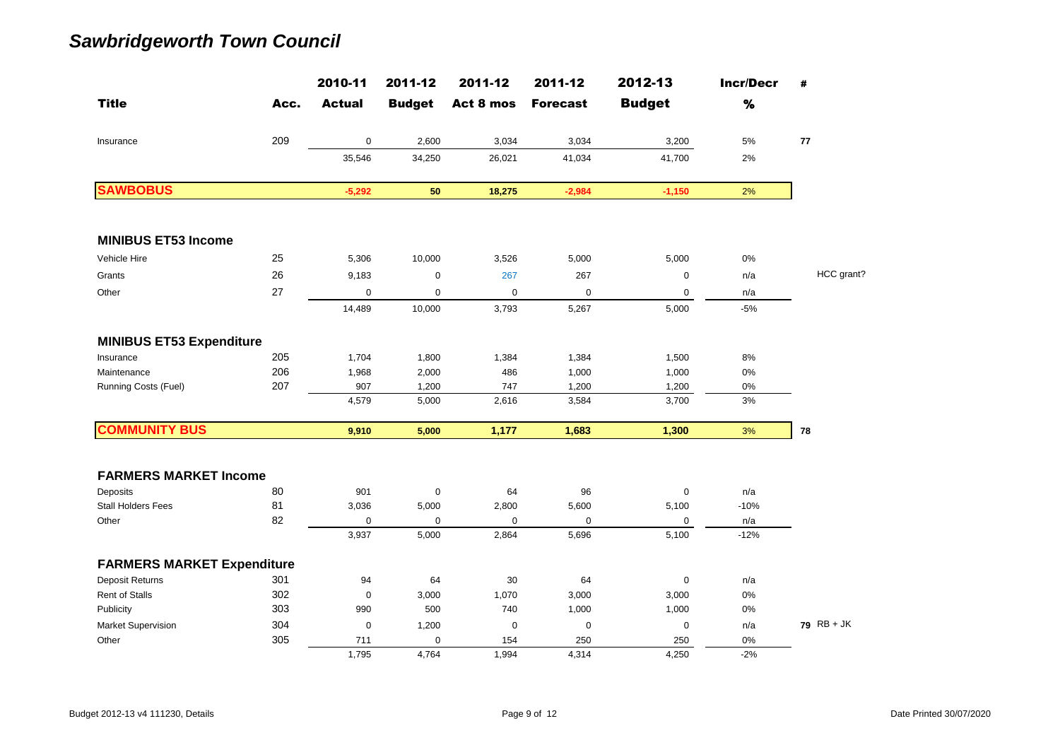|                                   |      | 2010-11       | 2011-12       | 2011-12     | 2011-12         | 2012-13       | <b>Incr/Decr</b> | #            |
|-----------------------------------|------|---------------|---------------|-------------|-----------------|---------------|------------------|--------------|
| <b>Title</b>                      | Acc. | <b>Actual</b> | <b>Budget</b> | Act 8 mos   | <b>Forecast</b> | <b>Budget</b> | $\%$             |              |
| Insurance                         | 209  | $\mathbf 0$   | 2,600         | 3,034       | 3,034           | 3,200         | 5%               | 77           |
|                                   |      | 35,546        | 34,250        | 26,021      | 41,034          | 41,700        | 2%               |              |
| <b>SAWBOBUS</b>                   |      | $-5,292$      | 50            | 18,275      | $-2,984$        | $-1,150$      | 2%               |              |
| <b>MINIBUS ET53 Income</b>        |      |               |               |             |                 |               |                  |              |
| Vehicle Hire                      | 25   | 5,306         | 10,000        | 3,526       | 5,000           | 5,000         | 0%               |              |
| Grants                            | 26   | 9,183         | 0             | 267         | 267             | $\mathbf 0$   | n/a              | HCC grant?   |
| Other                             | 27   | $\mathbf 0$   | 0             | $\mathbf 0$ | $\pmb{0}$       | $\mathbf 0$   | n/a              |              |
|                                   |      | 14,489        | 10,000        | 3,793       | 5,267           | 5,000         | $-5%$            |              |
| <b>MINIBUS ET53 Expenditure</b>   |      |               |               |             |                 |               |                  |              |
| Insurance                         | 205  | 1,704         | 1,800         | 1,384       | 1,384           | 1,500         | 8%               |              |
| Maintenance                       | 206  | 1,968         | 2,000         | 486         | 1,000           | 1,000         | 0%               |              |
| Running Costs (Fuel)              | 207  | 907           | 1,200         | 747         | 1,200           | 1,200         | 0%               |              |
|                                   |      | 4,579         | 5,000         | 2,616       | 3,584           | 3,700         | 3%               |              |
| <b>COMMUNITY BUS</b>              |      | 9,910         | 5,000         | 1,177       | 1,683           | 1,300         | 3%               | 78           |
| <b>FARMERS MARKET Income</b>      |      |               |               |             |                 |               |                  |              |
| Deposits                          | 80   | 901           | $\pmb{0}$     | 64          | 96              | $\mathbf 0$   | n/a              |              |
| <b>Stall Holders Fees</b>         | 81   | 3,036         | 5,000         | 2,800       | 5,600           | 5,100         | $-10%$           |              |
| Other                             | 82   | $\mathbf 0$   | $\mathbf 0$   | $\Omega$    | $\mathbf 0$     | 0             | n/a              |              |
|                                   |      | 3,937         | 5,000         | 2,864       | 5,696           | 5,100         | $-12%$           |              |
| <b>FARMERS MARKET Expenditure</b> |      |               |               |             |                 |               |                  |              |
| <b>Deposit Returns</b>            | 301  | 94            | 64            | 30          | 64              | $\mathbf 0$   | n/a              |              |
| <b>Rent of Stalls</b>             | 302  | $\mathbf 0$   | 3,000         | 1,070       | 3,000           | 3,000         | 0%               |              |
| Publicity                         | 303  | 990           | 500           | 740         | 1,000           | 1,000         | 0%               |              |
| Market Supervision                | 304  | $\mathbf 0$   | 1,200         | $\mathbf 0$ | $\mathbf 0$     | $\mathbf 0$   | n/a              | $79$ RB + JK |
| Other                             | 305  | 711           | $\mathbf 0$   | 154         | 250             | 250           | 0%               |              |
|                                   |      | 1,795         | 4,764         | 1,994       | 4,314           | 4.250         | $-2%$            |              |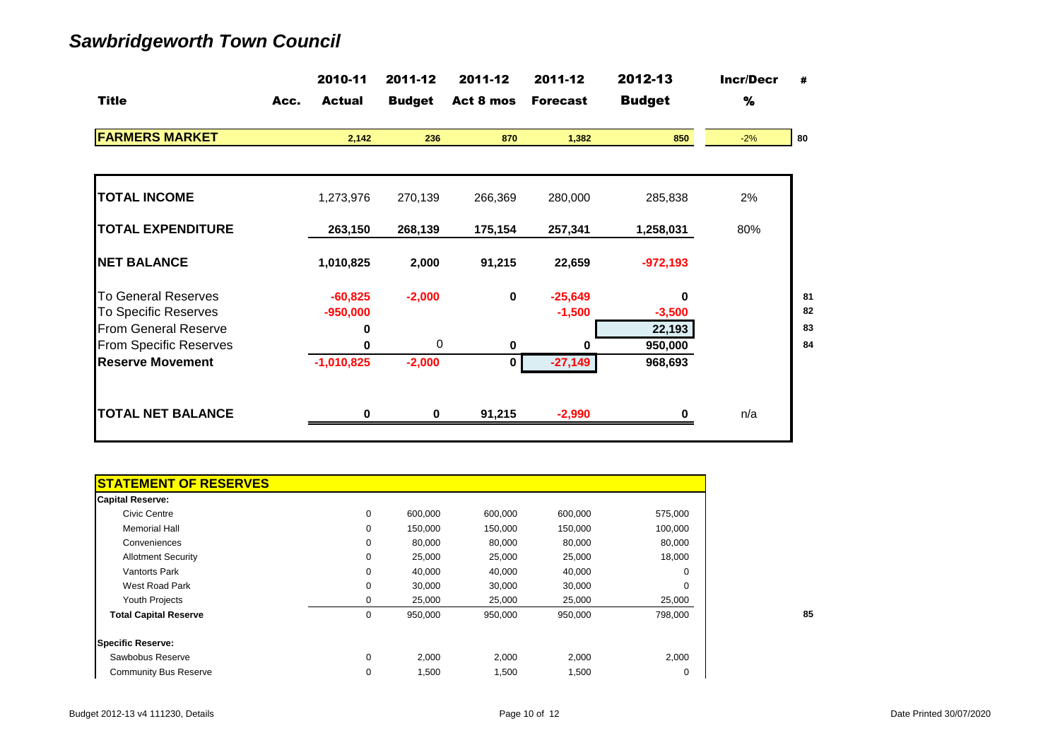|                               |      | 2010-11       | 2011-12       | 2011-12     | 2011-12         | 2012-13       | <b>Incr/Decr</b> | #  |
|-------------------------------|------|---------------|---------------|-------------|-----------------|---------------|------------------|----|
| <b>Title</b>                  | Acc. | <b>Actual</b> | <b>Budget</b> | Act 8 mos   | <b>Forecast</b> | <b>Budget</b> | $\%$             |    |
| <b>FARMERS MARKET</b>         |      | 2,142         | 236           | 870         | 1,382           | 850           | $-2%$            | 80 |
|                               |      |               |               |             |                 |               |                  |    |
| <b>TOTAL INCOME</b>           |      | 1,273,976     | 270,139       | 266,369     | 280,000         | 285,838       | 2%               |    |
| <b>TOTAL EXPENDITURE</b>      |      | 263,150       | 268,139       | 175,154     | 257,341         | 1,258,031     | 80%              |    |
| <b>NET BALANCE</b>            |      | 1,010,825     | 2,000         | 91,215      | 22,659          | $-972,193$    |                  |    |
| <b>To General Reserves</b>    |      | $-60,825$     | $-2,000$      | $\mathbf 0$ | $-25,649$       | 0             |                  | 81 |
| To Specific Reserves          |      | $-950,000$    |               |             | $-1,500$        | $-3,500$      |                  | 82 |
| <b>From General Reserve</b>   |      | 0             |               |             |                 | 22,193        |                  | 83 |
| <b>From Specific Reserves</b> |      | 0             | 0             | 0           | o               | 950,000       |                  | 84 |
| <b>Reserve Movement</b>       |      | $-1,010,825$  | $-2,000$      | 0           | $-27,149$       | 968,693       |                  |    |
| <b>TOTAL NET BALANCE</b>      |      | 0             | 0             | 91,215      | $-2,990$        |               | n/a              |    |
|                               |      |               |               |             |                 |               |                  |    |

| <b>STATEMENT OF RESERVES</b> |   |         |         |         |          |
|------------------------------|---|---------|---------|---------|----------|
| <b>Capital Reserve:</b>      |   |         |         |         |          |
| Civic Centre                 | 0 | 600.000 | 600,000 | 600,000 | 575,000  |
| <b>Memorial Hall</b>         | 0 | 150,000 | 150,000 | 150,000 | 100,000  |
| Conveniences                 | 0 | 80,000  | 80,000  | 80,000  | 80,000   |
| <b>Allotment Security</b>    | 0 | 25,000  | 25,000  | 25,000  | 18,000   |
| <b>Vantorts Park</b>         | 0 | 40,000  | 40,000  | 40,000  | 0        |
| West Road Park               | 0 | 30,000  | 30,000  | 30,000  | $\Omega$ |
| <b>Youth Projects</b>        | 0 | 25,000  | 25,000  | 25,000  | 25,000   |
| <b>Total Capital Reserve</b> | 0 | 950,000 | 950,000 | 950,000 | 798,000  |
| <b>Specific Reserve:</b>     |   |         |         |         |          |
| Sawbobus Reserve             | 0 | 2,000   | 2,000   | 2,000   | 2,000    |
| <b>Community Bus Reserve</b> | 0 | 1,500   | 1,500   | 1,500   | 0        |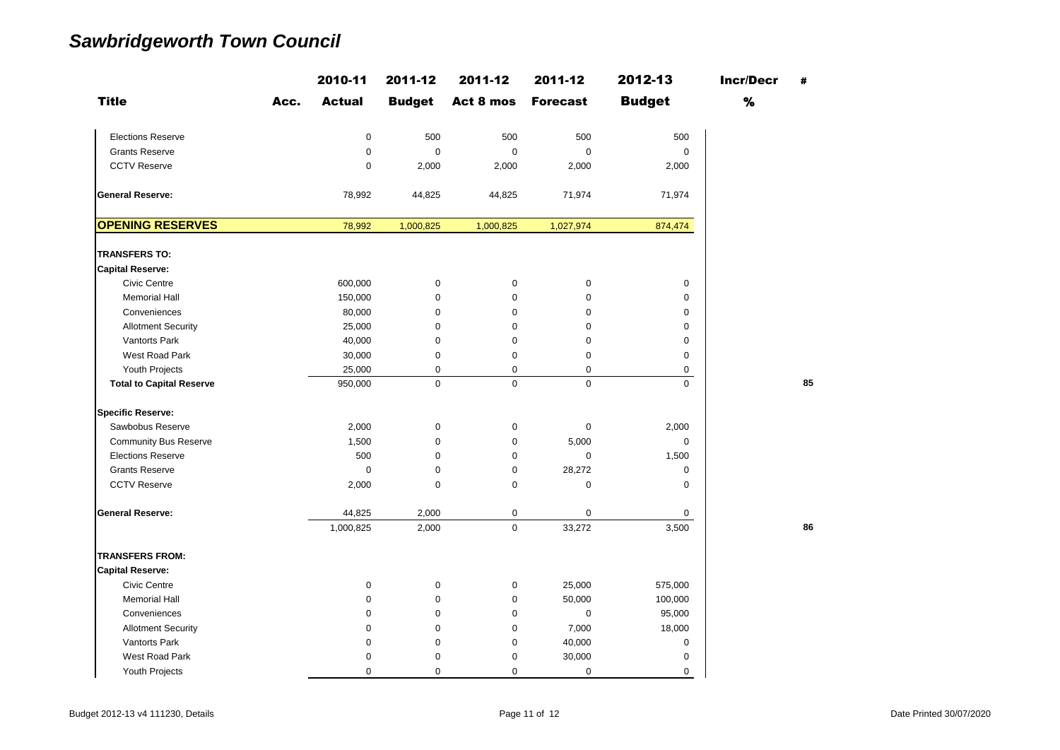|                                 |      | 2010-11       | 2011-12       | 2011-12     | 2011-12         | 2012-13       | <b>Incr/Decr</b> | #  |
|---------------------------------|------|---------------|---------------|-------------|-----------------|---------------|------------------|----|
| <b>Title</b>                    | Acc. | <b>Actual</b> | <b>Budget</b> | Act 8 mos   | <b>Forecast</b> | <b>Budget</b> | %                |    |
| <b>Elections Reserve</b>        |      | $\pmb{0}$     | 500           | 500         | 500             | 500           |                  |    |
| <b>Grants Reserve</b>           |      | $\mathsf 0$   | $\mathbf 0$   | $\mathbf 0$ | $\mathbf 0$     | $\mathbf 0$   |                  |    |
| <b>CCTV Reserve</b>             |      | $\mathbf 0$   | 2,000         | 2,000       | 2,000           | 2,000         |                  |    |
| <b>General Reserve:</b>         |      | 78,992        | 44,825        | 44,825      | 71,974          | 71,974        |                  |    |
| <b>OPENING RESERVES</b>         |      | 78,992        | 1,000,825     | 1,000,825   | 1,027,974       | 874,474       |                  |    |
| <b>TRANSFERS TO:</b>            |      |               |               |             |                 |               |                  |    |
| <b>Capital Reserve:</b>         |      |               |               |             |                 |               |                  |    |
| <b>Civic Centre</b>             |      | 600,000       | 0             | $\mathbf 0$ | $\pmb{0}$       | 0             |                  |    |
| <b>Memorial Hall</b>            |      | 150,000       | $\mathbf 0$   | $\mathbf 0$ | 0               | $\mathbf 0$   |                  |    |
| Conveniences                    |      | 80,000        | $\mathbf 0$   | $\mathbf 0$ | $\mathbf 0$     | $\mathbf 0$   |                  |    |
| <b>Allotment Security</b>       |      | 25,000        | $\mathbf 0$   | $\mathbf 0$ | 0               | 0             |                  |    |
| Vantorts Park                   |      | 40,000        | 0             | $\mathbf 0$ | 0               | 0             |                  |    |
| West Road Park                  |      | 30,000        | 0             | $\mathbf 0$ | 0               | $\mathbf 0$   |                  |    |
| Youth Projects                  |      | 25,000        | 0             | $\mathbf 0$ | $\mathbf 0$     | 0             |                  |    |
| <b>Total to Capital Reserve</b> |      | 950,000       | $\mathbf 0$   | $\mathbf 0$ | $\mathbf 0$     | $\mathbf 0$   |                  | 85 |
| <b>Specific Reserve:</b>        |      |               |               |             |                 |               |                  |    |
| Sawbobus Reserve                |      | 2,000         | 0             | $\mathbf 0$ | $\mathbf 0$     | 2,000         |                  |    |
| <b>Community Bus Reserve</b>    |      | 1,500         | $\mathbf 0$   | $\mathbf 0$ | 5,000           | $\mathbf 0$   |                  |    |
| <b>Elections Reserve</b>        |      | 500           | 0             | $\mathbf 0$ | $\mathbf 0$     | 1,500         |                  |    |
| <b>Grants Reserve</b>           |      | $\mathbf 0$   | 0             | $\mathbf 0$ | 28,272          | $\mathbf 0$   |                  |    |
| <b>CCTV Reserve</b>             |      | 2,000         | 0             | $\mathbf 0$ | 0               | $\mathbf 0$   |                  |    |
| <b>General Reserve:</b>         |      | 44,825        | 2,000         | $\mathbf 0$ | 0               | 0             |                  |    |
|                                 |      | 1,000,825     | 2,000         | $\mathbf 0$ | 33,272          | 3,500         |                  | 86 |
| <b>TRANSFERS FROM:</b>          |      |               |               |             |                 |               |                  |    |
| <b>Capital Reserve:</b>         |      |               |               |             |                 |               |                  |    |
| <b>Civic Centre</b>             |      | $\mathbf 0$   | 0             | $\mathbf 0$ | 25,000          | 575,000       |                  |    |
| <b>Memorial Hall</b>            |      | $\mathbf 0$   | 0             | $\mathbf 0$ | 50,000          | 100,000       |                  |    |
| Conveniences                    |      | 0             | 0             | $\mathbf 0$ | 0               | 95,000        |                  |    |
| <b>Allotment Security</b>       |      | $\mathbf 0$   | 0             | $\mathbf 0$ | 7,000           | 18,000        |                  |    |
| Vantorts Park                   |      | $\mathbf 0$   | 0             | $\mathbf 0$ | 40,000          | 0             |                  |    |
| West Road Park                  |      | $\mathbf 0$   | 0             | $\mathbf 0$ | 30,000          | 0             |                  |    |
| Youth Projects                  |      | 0             | $\mathbf 0$   | $\mathbf 0$ | 0               | 0             |                  |    |